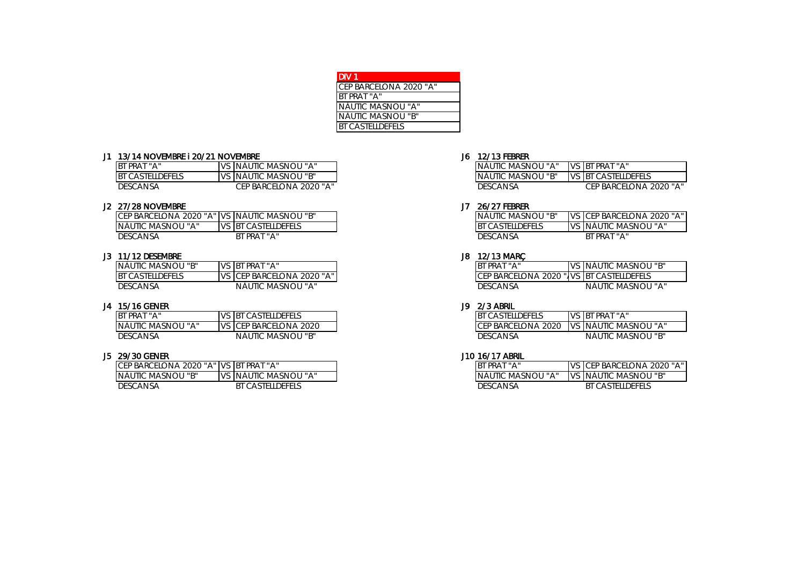| DIV 1                   |  |
|-------------------------|--|
| CEP BARCELONA 2020 "A"  |  |
| BT PRAT "A"             |  |
| NÀUTIC MASNOU "A"       |  |
| NÀUTIC MASNOU "B"       |  |
| <b>BT CASTELLDEFELS</b> |  |

### J1 13/14 NOVEMBRE I 20/21 NOVEMBRE 300 12/13 FEBRER 300 12/13 FEBRER

| BT PRAT "A"             | ∴s ∣NÀUTIC MASNOU "A" -       | INÀUTIC MASNOU "A" | VS BT PRAT "A"             |
|-------------------------|-------------------------------|--------------------|----------------------------|
| <b>BT CASTELLDEFELS</b> | <u>IVS INAUTIC MASNOU "B"</u> | INAUTIC MASNOU "B" | <b>VS BT CASTELLDEFELS</b> |
| <b>DESCANSA</b>         | CEP BARCELONA 2020 "A"        | DESCANSA           | CEP BARCELONA 2020 "A"     |

| J2 27/28 NOVEMBRE                              |                     | 26/27 FEBRER                |                                    |
|------------------------------------------------|---------------------|-----------------------------|------------------------------------|
| ICEP BARCELONA 2020 "A" IVS INAUTIC MASNOU "B" |                     | INÀUTIC MASNOU "B"          | <b>IVS ICEP BARCELONA 2020 "A"</b> |
| INAUTIC MASNOU "A"                             | VS BT CASTELLDEFELS | <b>CASTELLDEFFLS</b><br>IB1 | IVS INAUTIC MASNOU "A"             |
| DESCANSA                                       | BT PRAT "A"         | <b>DESCANSA</b>             | <b>BT PRAT</b>                     |

### J3 11/12 DESEMBRE J8 12/13 MARÇ

| INÀUTIC MASNOU "B"      | VS BT PRAT "A"                      | BT PRAT "A"     |  | VS NAUTIC MASNOU "B"                      |
|-------------------------|-------------------------------------|-----------------|--|-------------------------------------------|
| <b>BT CASTELLDEFELS</b> | <b>IVS ICEP BARCELONA 2020 "A"I</b> |                 |  | CEP BARCELONA 2020 "JVS IBT CASTELLDEFELS |
| <b>DESCANSA</b>         | NÀUTIC MASNOU "A"                   | <b>DESCANSA</b> |  | NĂUTIC MASNOU "A"                         |

| J4 15/16 GENER           |                          | J9. | 2/3 ABRIL                            |                                            |
|--------------------------|--------------------------|-----|--------------------------------------|--------------------------------------------|
| <b>IBT</b><br>I PRAT "A" | VS BT CASTELLDEFELS      |     | ' CASTFI I DEFFI S<br>B <sub>T</sub> | VS IBT PRAT "A"                            |
| INAUTIC MASNOU "A"       | IVS   CEP BARCELONA 2020 |     |                                      | TCEP BARCELONA 2020 TVS INAUTIC MASNOU "A" |
| DESCANSA                 | NĂUTIC MASNOU "B"        |     | <b>DESCANSA</b>                      | NĂUTIC MASNOU "B"                          |

| J5 29/30 GENER                          |                         | J10 16/17 ABRIL    |                                   |
|-----------------------------------------|-------------------------|--------------------|-----------------------------------|
| ICEP BARCELONA 2020 "A" IVS BT PRAT "A" |                         | BT PRAT "A"        | <b>IVS CEP BARCELONA 2020 "A"</b> |
| INAUTIC MASNOU "B"                      | IVS INÀUTIC MASNOU "A"  | INAUTIC MASNOU "A" | II VS INAUTIC MASNOU "B"          |
| DESCANSA                                | <b>BT CASTELLDEFELS</b> | DESCANSA           | <b>BT CASTELLDEFELS</b>           |

| NAUTIC MASNOU "A" | VS BT PRAT "A"         |
|-------------------|------------------------|
| NÀUTIC MASNOU "B" | VS BT CASTELLDEFELS    |
| <b>DESCANSA</b>   | CEP BARCELONA 2020 "A" |

| NÀUTIC MASNOU "B"       | VS CEP BARCELONA 2020 "A" |
|-------------------------|---------------------------|
| <b>BT CASTELLDEFELS</b> | VS NAUTIC MASNOU "A"      |
| DESCANSA                | RT PRAT "A"               |

| BT PRAT "A"                              | VS NAUTIC MASNOU "B" |
|------------------------------------------|----------------------|
| CEP BARCELONA 2020 " VS BT CASTELLDEFELS |                      |
| <b>DESCANSA</b>                          | NĂUTIC MASNOU "A"    |

| <b>BT CASTELLDEFELS</b>                 | VS BT PRAT "A"    |
|-----------------------------------------|-------------------|
| CEP BARCELONA 2020 VS NÀUTIC MASNOU "A" |                   |
| <b>DESCANSA</b>                         | NÀUTIC MASNOU "B" |

| RT PRAT "A"              | VS CEP BARCELONA 2020 "A" |
|--------------------------|---------------------------|
| <b>NAUTIC MASNOU "A"</b> | VS NÀUTIC MASNOU "B"      |
| DESCANSA                 | RT CASTELL DEFELS         |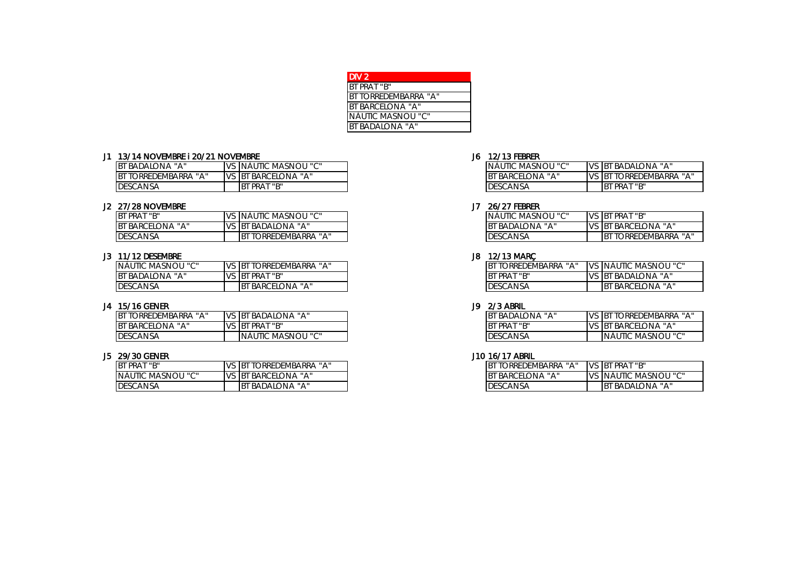| I DIV 2                  |
|--------------------------|
| BT PRAT "B"              |
| BT TORREDEMBARRA "A"     |
| <b>BT BARCELONA "A"</b>  |
| <b>NÀUTIC MASNOU "C"</b> |
| <b>BT BADALONA "A"</b>   |

### J1 13/14 NOVEMBRE i 20/21 NOVEMBRE J6 12/13 FEBRER

| - INAU.         | TIC MA                      | \SNOU "C" | , ІВТ<br><b>IVS</b> |
|-----------------|-----------------------------|-----------|---------------------|
| <b>B</b> T      | . v<br>lona<br><b>BARCF</b> |           | VS<br>$B^{\dagger}$ |
| <b>DESCANSA</b> |                             |           | IBT                 |

## J2 27/28 NOVEMBRE J7 26/27 FEBRER

| BT PRAT "B"                       | .<br>MASNOU<br>` INAUTIC         |
|-----------------------------------|----------------------------------|
| <b>BT BARCELONA</b><br><b>HAH</b> | <b>IB</b><br>. V<br>: badalona : |
| <b>DESCANSA</b>                   | ORREDEMBARRA<br>ΙB<br>11 A 11    |

### J3 11/12 DESEMBRE J8 12/13 MARÇ

| INÀUTIC MASNOU "C"     | . <b>.</b><br>iorredembarra<br><b>IB</b> |
|------------------------|------------------------------------------|
| <b>BT BADALONA "A"</b> | T PRAT "B"<br>. IB                       |
| DESCANSA               | BARCELONA "A"                            |

### J4 15/16 GENER J9 2/3 ABRIL

| <b>IBT</b><br><b>TORREDEMBARRA</b> | IV.S | BADALONA "A"<br>,IBT                                | <b>BT</b><br><b>BADALONA</b><br>$\mathbf{u}$ v $\mathbf{v}$ | <b>VS</b> | - IBT<br><b>ORREDEMBARRA</b> |
|------------------------------------|------|-----------------------------------------------------|-------------------------------------------------------------|-----------|------------------------------|
| lona "A"<br><b>BT BARCEL</b>       |      | ' PRAT "B"<br>, IBT                                 | BT PRAT "B"                                                 | <b>VS</b> | , BARCELONA "A"<br>.s IBT "  |
| <b>DESCANSA</b>                    |      | $\mathbf{H} \cap \mathbf{H}$<br>MASNOU<br>⊟ INAUTI∪ | <b>DESCANSA</b>                                             |           | INAUTIC MASNOU "C"           |

| BT PRAT "B"       | IVS. | TORREDEMBARRA "A"<br>. Ibt  | torredembarra "A"<br><b>BT</b> | <b>IVS</b> | <b>BT PRAT "B"</b>              |
|-------------------|------|-----------------------------|--------------------------------|------------|---------------------------------|
| NÀUTIC MASNOU "C" |      | <b>IVS BT BARCELONA "A"</b> | <b>BARCELONA "A"</b>           | <b>IVS</b> | $\sqrt{2}$<br>: INÀUTIC MASNOU- |
| DESCANSA          |      | ' BADALONA "A"<br><b>B</b>  | <b>DESCANSA</b>                |            | "A" BADALONA "A<br>IBT          |

| NÀUTIC MASNOU "C" | VS BT BADALONA "A"      |
|-------------------|-------------------------|
| 3T BARCELONA "A"  | VS BT TORREDEMBARRA "A" |
| DESCANSA          | BT PRAT "B"             |
|                   |                         |

| INĂUTIC MASNOU "C" | VS BT PRAT "B"               |
|--------------------|------------------------------|
| BT BADAI ONA "A"   | VS BT BARCELONA "A"          |
| <b>DESCANSA</b>    | <b>IBT TORREDEMBARRA "A"</b> |

| IBT TORRFDFMBARRA "A" | VS NAUTIC MASNOU "C" |
|-----------------------|----------------------|
| IRT PRAT "R"          | VS BT BADALONA "A"   |
| DESCANSA              | IBT BARCELONA "A"    |

| BT BADAIONA "A" | IVS IBT TORREDEMBARRA "A"  |
|-----------------|----------------------------|
| BT PRAT "B"     | <b>VS BT BARCELONA "A"</b> |
| DESCANSA        | INAUTIC MASNOU "C"         |

| BT TORRFDFMBARRA "A" | VS BT PRAT "B"          |
|----------------------|-------------------------|
| BT BARCFLONA "A"     | VS NAUTIC MASNOU "C"    |
| <b>DESCANSA</b>      | <b>IBT BADALONA "A"</b> |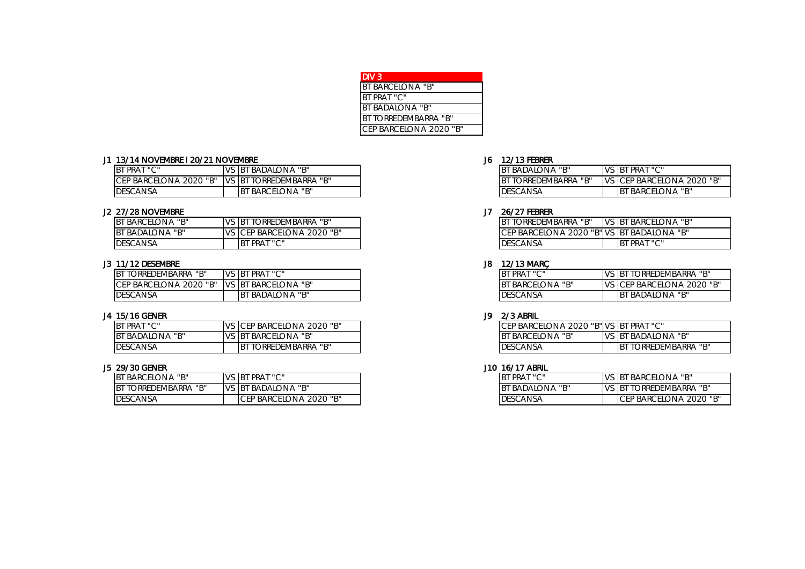| DIV 3.                      |
|-----------------------------|
| <b>BT BARCELONA "B"</b>     |
| <b>BT PRAT "C"</b>          |
| BT BADALONA "B"             |
| <b>BT TORREDEMBARRA "B"</b> |
| CEP BARCELONA 2020 "B"      |

# J1 13/14 NOVEMBRE I 20/21 NOVEMBRE J6 12/13 FEBRER

| BT PRAT "C"                               | " badalona "b"<br>i B                                                                    | BADALONA "B"<br>IB <sup>-</sup>    | PRAT "C"<br><b>IBT</b>             |
|-------------------------------------------|------------------------------------------------------------------------------------------|------------------------------------|------------------------------------|
| <b>CEP BARCEL</b><br>. 2020 "B"<br>`Elona | …∪EMBARRA "P"<br>i B<br>ORRE <sup>r</sup><br>$\mathbf{I} \setminus \mathbf{I} \subseteq$ | "R'<br>, ORREDEMBARRA<br>ΙB<br>. . | √2020 "B"<br>ep barcelona<br>`ICF. |
| <b>DESCANSA</b>                           | `BARCELONA "B"                                                                           | DESCANSA                           | <b>BARCELONA "B"</b><br><b>IBT</b> |

## J2 27/28 NOVEMBRE J7 26/27 FEBRER

| <b>BT BARCELONA "B"</b>      | $\sqrt{2}$ | יי היי<br>TORREDEMBARRA<br>BT ر      | יי היי<br>ORREDEMBARRA<br>$1B$ <sup>T</sup> | <b>IVS</b> | .elona "b"<br>- IB د<br>JI BARCE' |
|------------------------------|------------|--------------------------------------|---------------------------------------------|------------|-----------------------------------|
| יים יי<br><b>BT BADALONA</b> | $\sqrt{2}$ | "B" 2020 ،<br>EP BARCELONA<br>↑ ICF. | 2020<br>"B" VS<br>BARCELONA<br>IUE.         |            | t badalona "b"<br><b>BT</b>       |
| <b>DESCANSA</b>              |            | PRAT "C"<br>B.                       | DESCANSA                                    |            | PRAT "C"<br>B.                    |

## J3 11/12 DESEMBRE J8 12/13 MARÇ

| torredembarra "B"<br><b>IBT</b>    |               | <b>BT PRAT "C"</b>         | BT PRAT "C"                             | <b><i>IORREDEMBARRA</i></b> "B"<br> B |
|------------------------------------|---------------|----------------------------|-----------------------------------------|---------------------------------------|
| <b>CEP BARCELONA</b><br>. 2020 "B" | $\frac{1}{2}$ | BARCEL<br>BT د<br>lona "b" | <sup>"T</sup> BARCELONA L<br><b>B</b> T | S CEP BARCELONA 2020 "B"              |
| <b>DESCANSA</b>                    |               | יי חיי<br>badalona<br>IB1  | <b>DESCANSA</b>                         | BADALONA "B"<br>IB <sub>1</sub>       |

## J4 15/16 GENER J9 2/3 ABRIL

| BT PRAT "C"            | s Icep barcelona 2020 "B". | CEP BARCELONA 2020 "B" VS BT PRAT "C" |      |                          |
|------------------------|----------------------------|---------------------------------------|------|--------------------------|
| <b>BT BADALONA "B"</b> | VS BT BARCELONA "B"        | wuelona "P"<br><b>I BARCE'</b>        | IVS. | " badalona "b"<br>. Ibt  |
| <b>DESCANSA</b>        | torredembarra "B"<br>IBT   | <b>DESCANSA</b>                       |      | TORREDEMBARRA "B"<br>IBT |

| BT BARCELONA "B"            | VS BT PRAT "C"                      | PRAT "C"      |          | <b>IVS BT BARCELONA "B"</b>    |
|-----------------------------|-------------------------------------|---------------|----------|--------------------------------|
| יי רויי<br>BT TORREDEMBARRA | IVS IBT BADALONA "B"                | "BADALONA "B" | $VS$ $B$ | "TORREDEMBARRA"B"              |
| DESCANSA                    | EP BARCELONA 2020 "B"<br><b>IUL</b> | DESCANSA      |          | <b>ICEP BARCELONA 2020 "B"</b> |

| <b>IBT BADAIONA "B"</b>      | VS <b>BT PRAT</b> "C"              |
|------------------------------|------------------------------------|
| <b>IBT TORREDEMBARRA "B"</b> | <b>IVS ICEP BARCELONA 2020 "B"</b> |
| <b>DESCANSA</b>              | IBT BARCELONA "B"                  |

| <b>IBT TORREDEMBARRA "B"</b>              | <b>IVS IBT BARCELONA "B"</b> |
|-------------------------------------------|------------------------------|
| CEP BARCELONA 2020 "B" VS BT BADALONA "B" |                              |
| <b>IDESCANSA</b>                          | <b>BT PRAT "C"</b>           |

| BT PRAT "C"       | IVS IBT TORREDEMBARRA "B"   |
|-------------------|-----------------------------|
| BT BARCFI ONA "B" | IVS ICEP BARCELONA 2020 "B" |
| DESCANSA          | IBT BADAI ONA "B"           |

| CEP BARCELONA 2020 "B" VS BT PRAT "C" |                              |
|---------------------------------------|------------------------------|
| <b>IBT BARCELONA "B"</b>              | VS BT BADALONA "B"           |
| <b>IDESCANSA</b>                      | <b>IBT TORREDEMBARRA "B"</b> |

| IBT PRAT "C"           | <b>IVS BT BARCELONA "B"</b>     |
|------------------------|---------------------------------|
| <b>BT BADALONA "B"</b> | <b>IVS BT TORREDEMBARRA "B"</b> |
| <b>DESCANSA</b>        | ICFP BARCFLONA 2020 "B"         |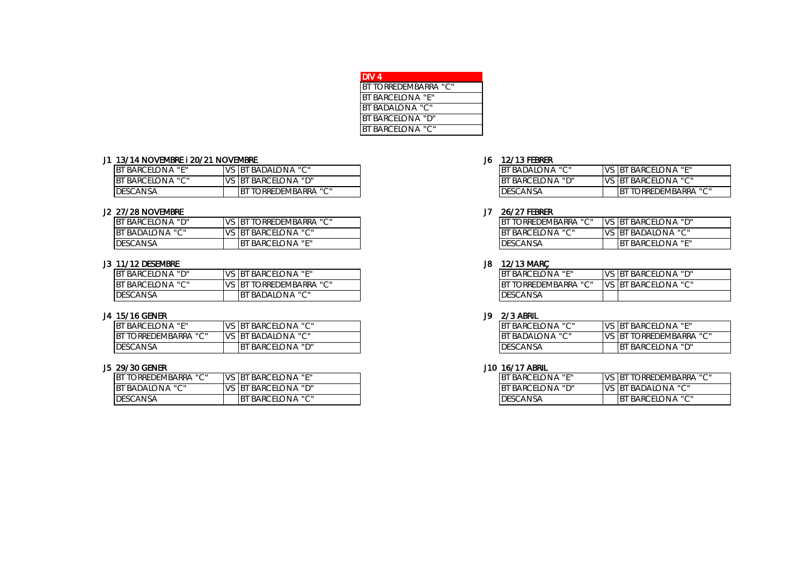| DIV 4                   |
|-------------------------|
| BT TORREDEMBARRA "C"    |
| <b>BT BARCELONA "F"</b> |
| <b>BT BADALONA "C"</b>  |
| <b>BT BARCELONA "D"</b> |
| <b>BT BARCELONA "C"</b> |

# J1 13/14 NOVEMBRE I 20/21 NOVEMBRE J6 12/13 FEBRER

| BT BARCELONA "E"        | BADALONA "C"<br>IB <sub>1</sub>    | $\cdots$ $\sim$ $\cdots$<br>BADALONA | 1/C<br>, IBT           |
|-------------------------|------------------------------------|--------------------------------------|------------------------|
| <b>BT BARCELONA "C"</b> | " BARCELONA "D"<br>IB <sup>-</sup> | BARCELONA "D"                        | 17C<br>IB <sup>-</sup> |
| <b>IDESCANSA</b>        | forredembarra "C"<br>IB.           | <b>DESCANSA</b>                      |                        |

### J2 27/28 NOVEMBRE J7 26/27 FEBRER

| BT BARCELONA "D" |       | TORREDEMBARRA "C"<br>s Ibt         | TORREDEMBARRA "C"<br>IB. | VS BT | <b>BARCELONA "D"</b>               |
|------------------|-------|------------------------------------|--------------------------|-------|------------------------------------|
| BT BADALONA "C"  | VS BT | i barcelona "C"                    | BARCELONA "C"<br>IBT     |       | VS BT BADALONA "C"                 |
| <b>DESCANSA</b>  |       | " BARCELONA "E"<br>IB <sub>1</sub> | <b>DESCANSA</b>          |       | ' BARCELONA "E"<br>IB <sub>1</sub> |

## J3 11/12 DESEMBRE J8 12/13 MARÇ

| <b>BT BARCELONA "D"</b> | " BARCELONA "E"<br>, IB   | <b>BARCELONA "E"</b> | VS BT |  |
|-------------------------|---------------------------|----------------------|-------|--|
| BT BARCELONA "C"        | TORREDEMBARRA "C"<br>, IB | TORREDEMBARRA "C"    | VS BT |  |
| <b>IDESCANSA</b>        | BADALONA "C"<br>B         | <b>DESCANSA</b>      |       |  |

## J4 15/16 GENER J9 2/3 ABRIL

| <b>BT BARCEI</b><br>$\mathbf{u} \in \mathbf{R}$<br>lona | ' BARCELONA "C"<br>, IBT            | BARCELONA "C"        | IVS. | BARCELONA "E"<br>BT د                             |
|---------------------------------------------------------|-------------------------------------|----------------------|------|---------------------------------------------------|
| BT TORREDEMBARRA "C"                                    | BADALONA "C"<br>, IBT<br><b>IVS</b> | , BADALONA "C"<br>ΙB |      | $\sqrt{2}$<br><b>ORREDEMBARRA</b><br>$\mathsf{B}$ |
| <b>DESCANSA</b>                                         | ' BARCELONA "D"<br>IB1              | <b>DESCANSA</b>      |      | . BARCELONA "D"<br> B                             |

| BT TORREDEMBARRA "C" | <b>IVS</b> | s Ibt barcelona "e"         | BARCELONA "E"<br>IB <sup>-</sup>                   | $\sqrt{2}$<br>- BT د<br><b>TORREDEMBARRA</b> |
|----------------------|------------|-----------------------------|----------------------------------------------------|----------------------------------------------|
| bt badalona "C"      | <b>VS</b>  | 'BARCELONA "D"<br><b>IB</b> | ∠LONA "D"<br><b>BARCE</b><br>IB <sup>-</sup><br>ъL | "BADALONA "C"<br>، IBT                       |
| DESCANSA             |            | BARCELONA "C"               | DESCANSA                                           | BARCELONA "C"<br><b>IBT</b>                  |

| <b>BT BADALONA "C"</b>   | <b>VS BT BARCELONA "E"</b>   |
|--------------------------|------------------------------|
| <b>IBT BARCELONA "D"</b> | VS BT BARCELONA "C"          |
| <b>IDESCANSA</b>         | <b>IBT TORREDEMBARRA "C"</b> |

| IBT TORREDEMBARRA "C" | <b>IVS BT BARCELONA "D"</b> |
|-----------------------|-----------------------------|
| IBT BARCELONA "C"     | VS BT BADALONA "C"          |
| <b>IDESCANSA</b>      | <b>IBT BARCELONA "F"</b>    |

| <b>BT BARCELONA "F"</b> | VS BT BARCELONA "D"        |
|-------------------------|----------------------------|
| IBT TORREDEMBARRA "C"   | <b>VS BT BARCELONA "C"</b> |
| <b>DESCANSA</b>         |                            |

| <b>IBT BARCELONA "C"</b> | <b>VS BT BARCELONA "E"</b>      |
|--------------------------|---------------------------------|
| <b>IBT BADALONA "C"</b>  | <b>IVS BT TORREDEMBARRA "C"</b> |
| <b>IDESCANSA</b>         | <b>IBT BARCELONA "D"</b>        |

| IBT BARCELONA "F"        | <b>VS BT TORREDEMBARRA "C"</b> |
|--------------------------|--------------------------------|
| <b>IBT BARCELONA "D"</b> | <b>VS BT BADALONA "C"</b>      |
| <b>DESCANSA</b>          | <b>BT BARCELONA "C"</b>        |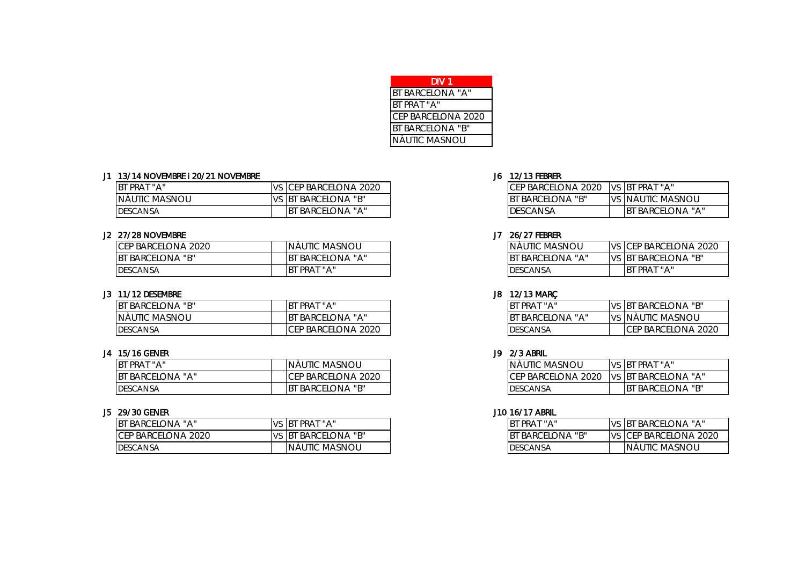| DIV 1                   |  |
|-------------------------|--|
| <b>BT BARCELONA "A"</b> |  |
| BT PRAT "A"             |  |
| CEP BARCELONA 2020      |  |
| <b>BT BARCELONA "B"</b> |  |
| NÀUTIC MASNOU           |  |

### J1 13/14 NOVEMBRE i 20/21 NOVEMBRE J6 12/13 FEBRER

| BT PRAT "A"     | s <b>I</b> CEP BARCELONA 2020 | ICEP BARCELONA 2020     | VS BT PRAT "A"            |
|-----------------|-------------------------------|-------------------------|---------------------------|
| NÀUTIC MASNOU   | <b>VS BT BARCELONA "B"</b>    | <b>BT BARCELONA "B"</b> | <u>IVS INAUTIC MASNOU</u> |
| <b>DESCANSA</b> | "BARCELONA "A"                | <b>DESCANSA</b>         | <b>BT BARCELONA "A"</b>   |

## J2 27/28 NOVEMBRE J7 26/27 FEBRER

| CEP BARCELONA 2020            | NAUTIC MASNOU                    | NAUTIC MASNOU        | <b>IVS</b> | S CEP BARCELONA 2020       |
|-------------------------------|----------------------------------|----------------------|------------|----------------------------|
| יי חיי<br><b>BT BARCELONA</b> | BARCELONA "A"<br>IB <sub>1</sub> | BARCELONA "A"<br>.BT | VS BT      | `BARCELONA "B"             |
| <b>DESCANSA</b>               | PRAT "A"<br>IB <sub>1</sub>      | <b>DESCANSA</b>      |            | PRAT "A"<br>B <sub>1</sub> |

# J3 11/12 DESEMBRE J8 12/13 MARÇ

| BT BARCELONA "B" | PRAT "A"<br>IB <sup>-</sup>                | PRAT<br>$\mathsf{H}$ A $\mathsf{I}$ | VS BT          | <b>BARCELONA "B"</b> |
|------------------|--------------------------------------------|-------------------------------------|----------------|----------------------|
| INÀUTIC MASNOU   | 'BARCELONA "A"<br>IB <sup>-</sup>          | BARCELONA "A"                       | N <sup>c</sup> | VS INAUTIC MASNOU    |
| <b>DESCANSA</b>  | .2020<br><b>FP BARCEL</b><br>LONA<br>-ICE. | <b>DESCANSA</b>                     |                | CEP BARCELONA 2020   |

# J4 15/16 GENER J9 2/3 ABRIL

| BT PRAT "A"      | NÀUTIC MASNOU                 | INÀUTIC MASNOU     | VS BT | PRAT "A"                |
|------------------|-------------------------------|--------------------|-------|-------------------------|
| BT BARCELONA "A" | CEP BARCELONA 2020            | CEP BARCELONA 2020 |       | II vs Ibt barcelona "A" |
| <b>DESCANSA</b>  | i barcelona "b"<br><b>IBT</b> | <b>IDESCANSA</b>   |       | t barcelona "b"         |

| BT BARCELONA "A"        | <b>BT PRAT "A"</b>                       | <b>BT</b> | PRAT "A"                   | <b>IVS</b> | <b>BARCELONA "A"</b><br>, IBT |
|-------------------------|------------------------------------------|-----------|----------------------------|------------|-------------------------------|
| CEP BARCELONA<br>, 2020 | יים יי<br><b>BARCEL</b><br>,IBT<br>elona | <b>BT</b> | יי חיי<br><b>BARCELONA</b> | <b>IVS</b> | S CEP BARCELONA 2020          |
| <b>DESCANSA</b>         | <b>IC MASNOU</b><br>''NÀu                |           | <b>DESCANSA</b>            |            | NÀUTIC MASNOU                 |

| The Barcelona 2020 TVs IBT PRAT "A" |                   |
|-------------------------------------|-------------------|
| IBT BARCELONA "B"                   | VS NÀUTIC MASNOU  |
| <b>IDESCANSA</b>                    | IBT BARCELONA "A" |

| NAUTIC MASNOU     | IVS ICEP BARCELONA 2020 |  |  |  |  |  |
|-------------------|-------------------------|--|--|--|--|--|
| IBT BARCELONA "A" | IVS IBT BARCELONA "B"   |  |  |  |  |  |
| DESCANSA          | IRT PRAT "A"            |  |  |  |  |  |

| BT PRAT "A"       | VS BT BARCELONA "B"        |
|-------------------|----------------------------|
| IBT BARCELONA "A" | VS NÀUTIC MASNOU           |
| <b>DESCANSA</b>   | <b>ICEP BARCELONA 2020</b> |

| INÀUTIC MASNOU      | VS IBT PRAT "A"             |
|---------------------|-----------------------------|
| ICEP BARCELONA 2020 | <b>IVS BT BARCELONA "A"</b> |
| <b>IDESCANSA</b>    | IBT BARCELONA "B"           |

| IRT PRAT "A"      | VS BT BARCELONA "A"   |
|-------------------|-----------------------|
| IBT BARCELONA "B" | VS CEP BARCELONA 2020 |
| <b>DESCANSA</b>   | <b>NAUTIC MASNOU</b>  |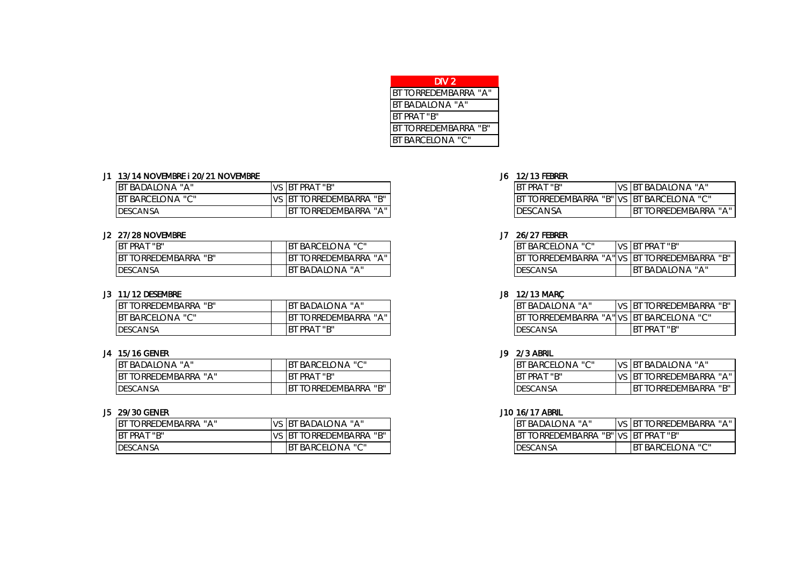| DIV 2                   |
|-------------------------|
| BT TORREDEMBARRA "A"    |
| <b>BT BADALONA "A"</b>  |
| <b>BT PRAT "B"</b>      |
| BT TORREDEMBARRA "B"    |
| <b>BT BARCELONA "C"</b> |

### J1 13/14 NOVEMBRE I 20/21 NOVEMBRE J6 12/13 FEBRER

| BT BADALONA "A"         | IV. | PRAT "B"<br>, IBT                                      | <b>ST PRAT</b><br>יי חיי<br>IBT | VS BI     | BADALONA "A"                                          |
|-------------------------|-----|--------------------------------------------------------|---------------------------------|-----------|-------------------------------------------------------|
| <b>BT BARCELONA "C"</b> | 'V. | EDEMBARRA<br>יי חיי<br><b>ORRET</b><br>IB <sup>-</sup> | ORREDEMBARRA<br>"R'<br>.,       | ,"Ivs Ibt | BARCELONA "C"                                         |
| <b>DESCANSA</b>         |     | EDEMBARRA<br><b>HAH</b><br>ORRF <sup>F</sup><br>IB     | <b>DESCANSA</b>                 |           | <b>EDEMBARRA</b><br>orre<br>IB <sub>1</sub><br>$\sim$ |

## J2 27/28 NOVEMBRE J7 26/27 FEBRER

| BT PRAT "B"                                | ' BARCELONA "C"<br>IB <sup>-</sup> |  | , barcelona "C"      | <b>VS</b> |                 | , BT PRAT "B"                        |  |
|--------------------------------------------|------------------------------------|--|----------------------|-----------|-----------------|--------------------------------------|--|
| יחיי<br><b>TORREDEMBARRA</b><br>.BT T<br>ш | <b>HAH</b><br>TORREDEMBARRA<br>IB. |  | <b>TORREDEMBARRA</b> | "A"VS     | BT ر            | ' TORREDEMBARRA "B"                  |  |
| <b>DESCANSA</b>                            | `BADALONA "A"<br>IB <sup>-</sup>   |  | <b>DESCANSA</b>      |           | 1B <sup>T</sup> | BADALONA<br><b>II</b> A <sub>I</sub> |  |

# J3 11/12 DESEMBRE J8 12/13 MARÇ

| יי חיי<br><b>BT TORREDEMBARRA</b> | BADALONA<br>11A1                             | 'B'             | ' BADALONA "A" |              | VS   | <b>IBT</b> | יי רויי<br>TORREDEMBARRA |
|-----------------------------------|----------------------------------------------|-----------------|----------------|--------------|------|------------|--------------------------|
| . vuelONA "C"<br><b>BT BARCEI</b> | $\mathbf{H}$ A $\mathbf{H}$<br>TORREDEMBARRA | B.              | <b>TORRED</b>  | ' DEMBARRA ب | "IVS |            | "ONA "C"<br>; IBT BARCEL |
| <b>DESCANSA</b>                   | PRAT "B"<br><b>BT</b>                        | <b>DESCANSA</b> |                |              |      |            | BT PRAT "B"              |

# J4 15/16 GENER J9 2/3 ABRIL

| badalona "A"                | `BARCELONA "C"<br>IB1                                           | $\mathsf{H}\cap\mathsf{H}$<br>$\bigcap_{\Lambda}$<br>BARCI<br>elona | $\frac{1}{2}$ | √DALONA "A"<br>IB <sup>-</sup><br>KД,<br>◡ |
|-----------------------------|-----------------------------------------------------------------|---------------------------------------------------------------------|---------------|--------------------------------------------|
| י ∧י<br><b>ORREDEMBARRA</b> | <b>PRAT "B"</b><br><b>I</b> BT                                  | יחיי<br>PRAT<br><b>IB</b>                                           |               | ORREDEMBARRA<br>IB.                        |
| <b>DESCANSA</b>             | יי חיי<br>REDEMBARRA<br>ORRE<br>IB1<br>$\overline{\phantom{a}}$ | DESCANSA                                                            |               | iorredembarra "b"<br>B.                    |

| <b>BT TORRED</b><br>DEMBARRA<br><b>ILAIL</b> | <b>II</b> A II<br><b>BADALONA</b><br>-IBî                  | <b>LONA</b> "A"<br>.DAL<br>BА     | , ORREDEMBARRA<br>IB <sup>-</sup>  |
|----------------------------------------------|------------------------------------------------------------|-----------------------------------|------------------------------------|
| BT PRAT "B"                                  | $\mathsf{H} \cap \mathsf{H}$<br>…DEMBARRA""<br>IB.<br>ORRF | _DEMBARRA<br>"B" VS<br>JRRF'<br>◡ | $\therefore$ BT PRAT "B"           |
| <b>DESCANSA</b>                              | LONA "C"<br><b>BARC</b><br>IB.                             | ESCANSA                           | ∟ONA "C"<br>$\alpha$ BARCE.<br>IB. |

| IRT PRAT "R"                             | VS BT BADALONA "A"           |
|------------------------------------------|------------------------------|
| BT TORREDEMBARRA "B" VS BT BARCELONA "C" |                              |
| <b>IDESCANSA</b>                         | <b>IBT TORREDEMBARRA "A"</b> |

| BT BARCELONA "C"                             | <b>VS BT PRAT "B"</b> |
|----------------------------------------------|-----------------------|
| BT TORREDEMBARRA "A" VS BT TORREDEMBARRA "B" |                       |
| DESCANSA                                     | IBT BADALONA "A"      |

| <b>IBT BADALONA "A"</b>                  | <b>VS BT TORREDEMBARRA "B"</b> |
|------------------------------------------|--------------------------------|
| BT TORREDEMBARRA "A" VS BT BARCELONA "C" |                                |
| DESCANSA                                 | IRT PRAT "R"                   |

| IBT BARCELONA "C". | <b>VS BT BADALONA "A"</b>      |
|--------------------|--------------------------------|
| IRT PRAT "R"       | <b>VS BT TORREDEMBARRA "A"</b> |
| <b>IDESCANSA</b>   | <b>BT TORREDEMBARRA "B"</b>    |

| BT BADALONA "A"                     | VS BT TORREDEMBARRA "A"  |
|-------------------------------------|--------------------------|
| BT TORREDEMBARRA "B" VS BT PRAT "B" |                          |
| <b>IDESCANSA</b>                    | <b>IBT BARCELONA "C"</b> |